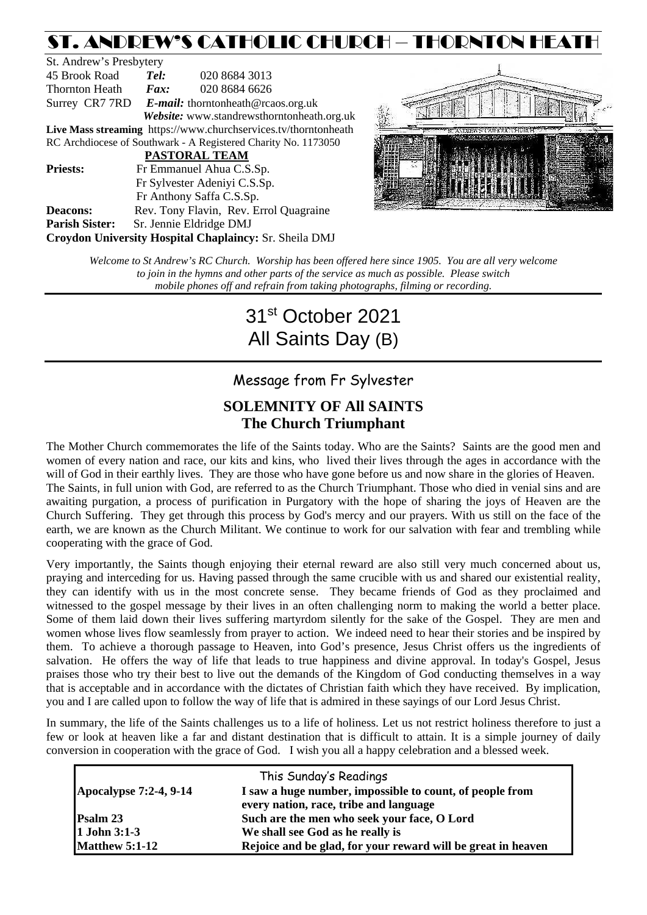# ST. ANDREW'S CATHOLIC CHURCH – THORNTON HEATH

St. Andrew's Presbytery 45 Brook Road *Tel:* 020 8684 3013 Thornton Heath *Fax:* 020 8684 6626 Surrey CR7 7RD *E-mail:* [thorntonheath@rcaos.org.uk](mailto:thorntonheath@rcaos.org.uk) *Website:* www.standrewsthorntonheath.org.uk **Live Mass streaming** <https://www.churchservices.tv/thorntonheath> RC Archdiocese of Southwark - A Registered Charity No. 1173050  **PASTORAL TEAM Priests:** Fr Emmanuel Ahua C.S.Sp. Fr Sylvester Adeniyi C.S.Sp. Fr Anthony Saffa C.S.Sp. **Deacons:** Rev. Tony Flavin, Rev. Errol Quagraine **Parish Sister:** Sr. Jennie Eldridge DMJ **Croydon University Hospital Chaplaincy:** Sr. Sheila DMJ



*Welcome to St Andrew's RC Church. Worship has been offered here since 1905. You are all very welcome to join in the hymns and other parts of the service as much as possible. Please switch mobile phones off and refrain from taking photographs, filming or recording.*

# 31st October 2021 All Saints Day (B)

# Message from Fr Sylvester

## **SOLEMNITY OF All SAINTS The Church Triumphant**

The Mother Church commemorates the life of the Saints today. Who are the Saints? Saints are the good men and women of every nation and race, our kits and kins, who lived their lives through the ages in accordance with the will of God in their earthly lives. They are those who have gone before us and now share in the glories of Heaven. The Saints, in full union with God, are referred to as the Church Triumphant. Those who died in venial sins and are awaiting purgation, a process of purification in Purgatory with the hope of sharing the joys of Heaven are the Church Suffering. They get through this process by God's mercy and our prayers. With us still on the face of the earth, we are known as the Church Militant. We continue to work for our salvation with fear and trembling while cooperating with the grace of God.

Very importantly, the Saints though enjoying their eternal reward are also still very much concerned about us, praying and interceding for us. Having passed through the same crucible with us and shared our existential reality, they can identify with us in the most concrete sense. They became friends of God as they proclaimed and witnessed to the gospel message by their lives in an often challenging norm to making the world a better place. Some of them laid down their lives suffering martyrdom silently for the sake of the Gospel. They are men and women whose lives flow seamlessly from prayer to action. We indeed need to hear their stories and be inspired by them. To achieve a thorough passage to Heaven, into God's presence, Jesus Christ offers us the ingredients of salvation. He offers the way of life that leads to true happiness and divine approval. In today's Gospel, Jesus praises those who try their best to live out the demands of the Kingdom of God conducting themselves in a way that is acceptable and in accordance with the dictates of Christian faith which they have received. By implication, you and I are called upon to follow the way of life that is admired in these sayings of our Lord Jesus Christ.

In summary, the life of the Saints challenges us to a life of holiness. Let us not restrict holiness therefore to just a few or look at heaven like a far and distant destination that is difficult to attain. It is a simple journey of daily conversion in cooperation with the grace of God. I wish you all a happy celebration and a blessed week.

| This Sunday's Readings        |                                                              |  |  |
|-------------------------------|--------------------------------------------------------------|--|--|
| <b>Apocalypse 7:2-4, 9-14</b> | I saw a huge number, impossible to count, of people from     |  |  |
|                               | every nation, race, tribe and language                       |  |  |
| Psalm 23                      | Such are the men who seek your face, O Lord                  |  |  |
| 1 John 3:1-3                  | We shall see God as he really is                             |  |  |
| <b>Matthew 5:1-12</b>         | Rejoice and be glad, for your reward will be great in heaven |  |  |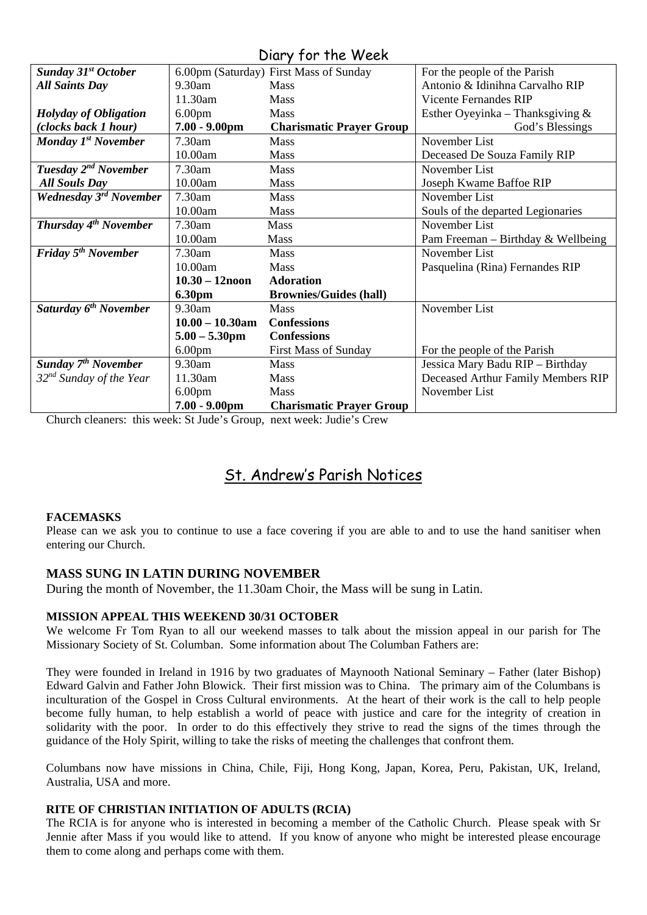### Diary for the Week

| <b>Sunday 31st October</b>          |                    | 6.00pm (Saturday) First Mass of Sunday | For the people of the Parish       |
|-------------------------------------|--------------------|----------------------------------------|------------------------------------|
| <b>All Saints Day</b>               | 9.30am             | <b>Mass</b>                            | Antonio & Idinihna Carvalho RIP    |
|                                     | 11.30am            | Mass                                   | <b>Vicente Fernandes RIP</b>       |
| <b>Holyday of Obligation</b>        | 6.00 <sub>pm</sub> | Mass                                   | Esther Oyeyinka – Thanksgiving $&$ |
| (clocks back 1 hour)                | $7.00 - 9.00$ pm   | <b>Charismatic Prayer Group</b>        | God's Blessings                    |
| Monday 1 <sup>st</sup> November     | 7.30am             | Mass                                   | November List                      |
|                                     | 10.00am            | <b>Mass</b>                            | Deceased De Souza Family RIP       |
| Tuesday 2 <sup>nd</sup> November    | 7.30am             | Mass                                   | November List                      |
| <b>All Souls Day</b>                | 10.00am            | <b>Mass</b>                            | Joseph Kwame Baffoe RIP            |
| Wednesday 3 <sup>rd</sup> November  | 7.30am             | Mass                                   | November List                      |
|                                     | 10.00am            | <b>Mass</b>                            | Souls of the departed Legionaries  |
| Thursday 4 <sup>th</sup> November   | 7.30am             | <b>Mass</b>                            | November List                      |
|                                     | 10.00am            | <b>Mass</b>                            | Pam Freeman – Birthday & Wellbeing |
| Friday 5 <sup>th</sup> November     | 7.30am             | Mass                                   | November List                      |
|                                     | 10.00am            | Mass                                   | Pasquelina (Rina) Fernandes RIP    |
|                                     | $10.30 - 12$ noon  | <b>Adoration</b>                       |                                    |
|                                     | <b>6.30pm</b>      | <b>Brownies/Guides (hall)</b>          |                                    |
| Saturday 6 <sup>th</sup> November   | 9.30am             | <b>Mass</b>                            | November List                      |
|                                     | $10.00 - 10.30$ am | <b>Confessions</b>                     |                                    |
|                                     | $5.00 - 5.30$ pm   | <b>Confessions</b>                     |                                    |
|                                     | 6.00 <sub>pm</sub> | <b>First Mass of Sunday</b>            | For the people of the Parish       |
| <b>Sunday 7th November</b>          | 9.30am             | <b>Mass</b>                            | Jessica Mary Badu RIP - Birthday   |
| 32 <sup>nd</sup> Sunday of the Year | 11.30am            | <b>Mass</b>                            | Deceased Arthur Family Members RIP |
|                                     | 6.00 <sub>pm</sub> | <b>Mass</b>                            | November List                      |
|                                     | $7.00 - 9.00$ pm   | <b>Charismatic Prayer Group</b>        |                                    |

Church cleaners: this week: St Jude's Group, next week: Judie's Crew

# St. Andrew's Parish Notices

#### **FACEMASKS**

Please can we ask you to continue to use a face covering if you are able to and to use the hand sanitiser when entering our Church.

#### **MASS SUNG IN LATIN DURING NOVEMBER**

During the month of November, the 11.30am Choir, the Mass will be sung in Latin.

#### **MISSION APPEAL THIS WEEKEND 30/31 OCTOBER**

We welcome Fr Tom Ryan to all our weekend masses to talk about the mission appeal in our parish for The Missionary Society of St. Columban. Some information about The Columban Fathers are:

They were founded in Ireland in 1916 by two graduates of Maynooth National Seminary – Father (later Bishop) Edward Galvin and Father John Blowick. Their first mission was to China. The primary aim of the Columbans is inculturation of the Gospel in Cross Cultural environments. At the heart of their work is the call to help people become fully human, to help establish a world of peace with justice and care for the integrity of creation in solidarity with the poor. In order to do this effectively they strive to read the signs of the times through the guidance of the Holy Spirit, willing to take the risks of meeting the challenges that confront them.

Columbans now have missions in China, Chile, Fiji, Hong Kong, Japan, Korea, Peru, Pakistan, UK, Ireland, Australia, USA and more.

#### **RITE OF CHRISTIAN INITIATION OF ADULTS (RCIA)**

The RCIA is for anyone who is interested in becoming a member of the Catholic Church. Please speak with Sr Jennie after Mass if you would like to attend. If you know of anyone who might be interested please encourage them to come along and perhaps come with them.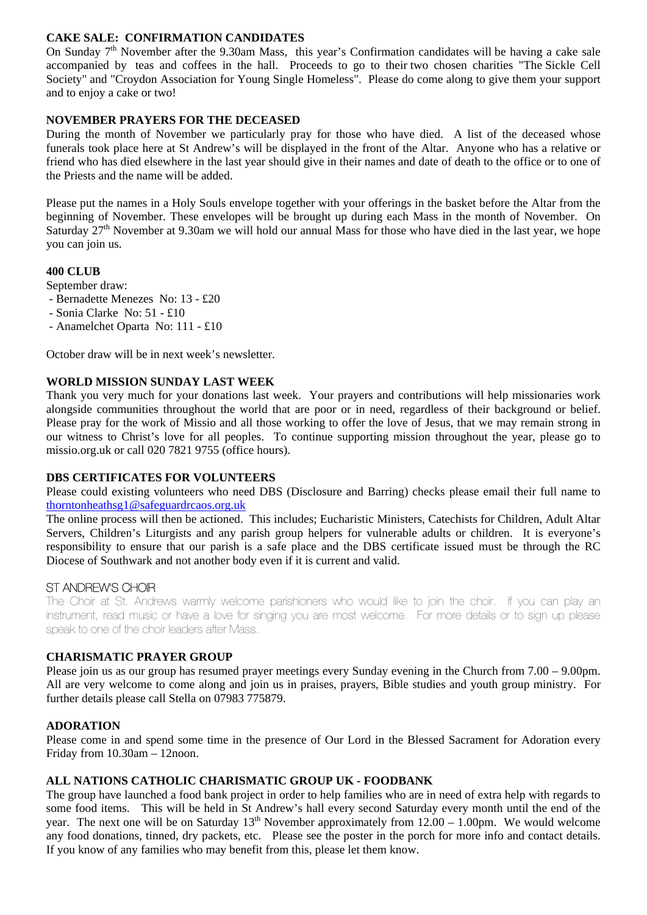#### **CAKE SALE: CONFIRMATION CANDIDATES**

On Sunday  $7<sup>th</sup>$  November after the 9.30am Mass, this year's Confirmation candidates will be having a cake sale accompanied by teas and coffees in the hall. Proceeds to go to their two chosen charities "The Sickle Cell Society" and "Croydon Association for Young Single Homeless". Please do come along to give them your support and to enjoy a cake or two!

#### **NOVEMBER PRAYERS FOR THE DECEASED**

During the month of November we particularly pray for those who have died. A list of the deceased whose funerals took place here at St Andrew's will be displayed in the front of the Altar. Anyone who has a relative or friend who has died elsewhere in the last year should give in their names and date of death to the office or to one of the Priests and the name will be added.

Please put the names in a Holy Souls envelope together with your offerings in the basket before the Altar from the beginning of November. These envelopes will be brought up during each Mass in the month of November. On Saturday  $27<sup>th</sup>$  November at 9.30am we will hold our annual Mass for those who have died in the last year, we hope you can join us.

#### **400 CLUB**

September draw:

- Bernadette Menezes No: 13 £20
- Sonia Clarke No: 51 £10
- Anamelchet Oparta No: 111 £10

October draw will be in next week's newsletter.

#### **WORLD MISSION SUNDAY LAST WEEK**

Thank you very much for your donations last week. Your prayers and contributions will help missionaries work alongside communities throughout the world that are poor or in need, regardless of their background or belief. Please pray for the work of Missio and all those working to offer the love of Jesus, that we may remain strong in our witness to Christ's love for all peoples. To continue supporting mission throughout the year, please go to missio.org.uk or call 020 7821 9755 (office hours).

#### **DBS CERTIFICATES FOR VOLUNTEERS**

Please could existing volunteers who need DBS (Disclosure and Barring) checks please email their full name to [thorntonheathsg1@safeguardrcaos.org.uk](mailto:thorntonheathsg1@safeguardrcaos.org.uk)

The online process will then be actioned. This includes; Eucharistic Ministers, Catechists for Children, Adult Altar Servers, Children's Liturgists and any parish group helpers for vulnerable adults or children. It is everyone's responsibility to ensure that our parish is a safe place and the DBS certificate issued must be through the RC Diocese of Southwark and not another body even if it is current and valid.

#### ST ANDREW'S CHOIR

The Choir at St. Andrews warmly welcome parishioners who would like to join the choir. If you can play an instrument, read music or have a love for singing you are most welcome. For more details or to sign up please speak to one of the choir leaders after Mass.

#### **CHARISMATIC PRAYER GROUP**

Please join us as our group has resumed prayer meetings every Sunday evening in the Church from 7.00 – 9.00pm. All are very welcome to come along and join us in praises, prayers, Bible studies and youth group ministry. For further details please call Stella on 07983 775879.

#### **ADORATION**

Please come in and spend some time in the presence of Our Lord in the Blessed Sacrament for Adoration every Friday from 10.30am – 12noon.

#### **ALL NATIONS CATHOLIC CHARISMATIC GROUP UK - FOODBANK**

The group have launched a food bank project in order to help families who are in need of extra help with regards to some food items. This will be held in St Andrew's hall every second Saturday every month until the end of the year. The next one will be on Saturday  $13<sup>th</sup>$  November approximately from  $12.00 - 1.00$ pm. We would welcome any food donations, tinned, dry packets, etc. Please see the poster in the porch for more info and contact details. If you know of any families who may benefit from this, please let them know.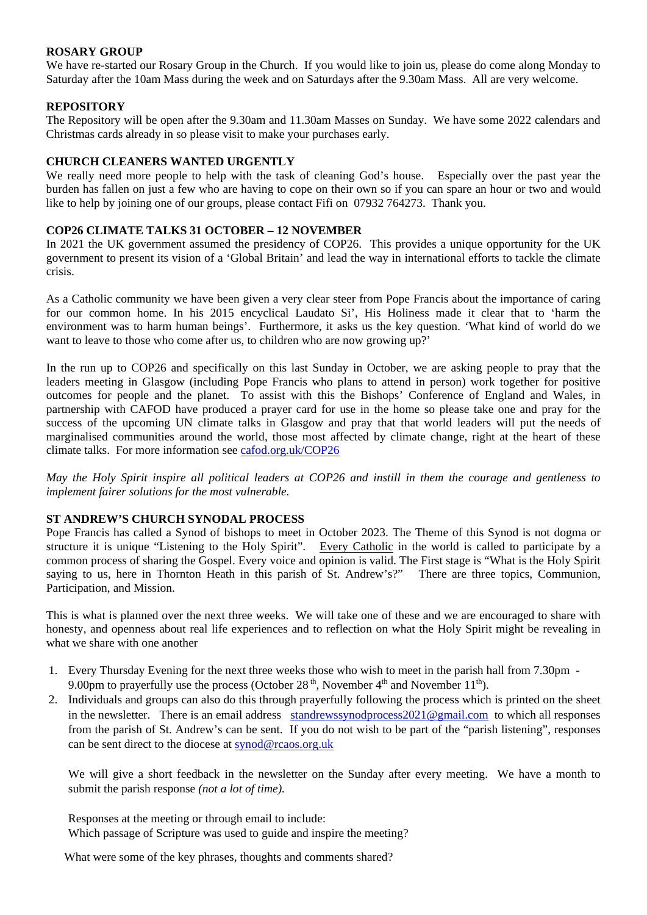#### **ROSARY GROUP**

We have re-started our Rosary Group in the Church. If you would like to join us, please do come along Monday to Saturday after the 10am Mass during the week and on Saturdays after the 9.30am Mass. All are very welcome.

#### **REPOSITORY**

The Repository will be open after the 9.30am and 11.30am Masses on Sunday. We have some 2022 calendars and Christmas cards already in so please visit to make your purchases early.

#### **CHURCH CLEANERS WANTED URGENTLY**

We really need more people to help with the task of cleaning God's house. Especially over the past year the burden has fallen on just a few who are having to cope on their own so if you can spare an hour or two and would like to help by joining one of our groups, please contact Fifi on 07932 764273. Thank you.

#### **COP26 CLIMATE TALKS 31 OCTOBER – 12 NOVEMBER**

In 2021 the UK government assumed the presidency of COP26. This provides a unique opportunity for the UK government to present its vision of a 'Global Britain' and lead the way in international efforts to tackle the climate crisis.

As a Catholic community we have been given a very clear steer from Pope Francis about the importance of caring for our common home. In his 2015 encyclical Laudato Si', His Holiness made it clear that to 'harm the environment was to harm human beings'. Furthermore, it asks us the key question. 'What kind of world do we want to leave to those who come after us, to children who are now growing up?'

In the run up to COP26 and specifically on this last Sunday in October, we are asking people to pray that the leaders meeting in Glasgow (including Pope Francis who plans to attend in person) work together for positive outcomes for people and the planet. To assist with this the Bishops' Conference of England and Wales, in partnership with CAFOD have produced a prayer card for use in the home so please take one and pray for the success of the upcoming UN climate talks in Glasgow and pray that that world leaders will put the needs of marginalised communities around the world, those most affected by climate change, right at the heart of these climate talks. For more information see [cafod.org.uk/COP26](http://cafod.org.uk/COP26)

*May the Holy Spirit inspire all political leaders at COP26 and instill in them the courage and gentleness to implement fairer solutions for the most vulnerable.*

#### **ST ANDREW'S CHURCH SYNODAL PROCESS**

Pope Francis has called a Synod of bishops to meet in October 2023. The Theme of this Synod is not dogma or structure it is unique "Listening to the Holy Spirit". Every Catholic in the world is called to participate by a common process of sharing the Gospel. Every voice and opinion is valid. The First stage is "What is the Holy Spirit saying to us, here in Thornton Heath in this parish of St. Andrew's?" There are three topics, Communion, Participation, and Mission.

This is what is planned over the next three weeks. We will take one of these and we are encouraged to share with honesty, and openness about real life experiences and to reflection on what the Holy Spirit might be revealing in what we share with one another

- 1. Every Thursday Evening for the next three weeks those who wish to meet in the parish hall from 7.30pm 9.00pm to prayerfully use the process (October 28<sup>th</sup>, November  $4<sup>th</sup>$  and November  $11<sup>th</sup>$ ).
- 2. Individuals and groups can also do this through prayerfully following the process which is printed on the sheet in the newsletter. There is an email address [standrewssynodprocess2021@gmail.com](mailto:standrewssynodprocess2021@gmail.com) to which all responses from the parish of St. Andrew's can be sent. If you do not wish to be part of the "parish listening", responses can be sent direct to the diocese at [synod@rcaos.org.uk](mailto:synod@rcaos.org.uk)

We will give a short feedback in the newsletter on the Sunday after every meeting. We have a month to submit the parish response *(not a lot of time).*

Responses at the meeting or through email to include:

Which passage of Scripture was used to guide and inspire the meeting?

What were some of the key phrases, thoughts and comments shared?